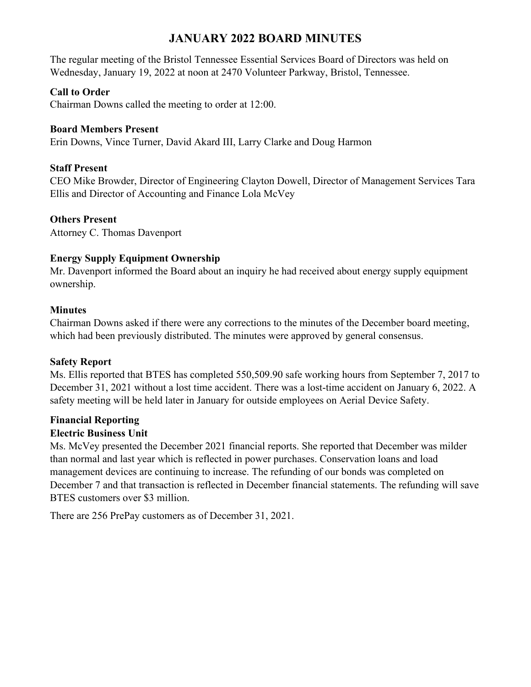# **JANUARY 2022 BOARD MINUTES**

The regular meeting of the Bristol Tennessee Essential Services Board of Directors was held on Wednesday, January 19, 2022 at noon at 2470 Volunteer Parkway, Bristol, Tennessee.

## **Call to Order**

Chairman Downs called the meeting to order at 12:00.

#### **Board Members Present**

Erin Downs, Vince Turner, David Akard III, Larry Clarke and Doug Harmon

## **Staff Present**

CEO Mike Browder, Director of Engineering Clayton Dowell, Director of Management Services Tara Ellis and Director of Accounting and Finance Lola McVey

### **Others Present**

Attorney C. Thomas Davenport

### **Energy Supply Equipment Ownership**

Mr. Davenport informed the Board about an inquiry he had received about energy supply equipment ownership.

### **Minutes**

Chairman Downs asked if there were any corrections to the minutes of the December board meeting, which had been previously distributed. The minutes were approved by general consensus.

#### **Safety Report**

Ms. Ellis reported that BTES has completed 550,509.90 safe working hours from September 7, 2017 to December 31, 2021 without a lost time accident. There was a lost-time accident on January 6, 2022. A safety meeting will be held later in January for outside employees on Aerial Device Safety.

# **Financial Reporting**

# **Electric Business Unit**

Ms. McVey presented the December 2021 financial reports. She reported that December was milder than normal and last year which is reflected in power purchases. Conservation loans and load management devices are continuing to increase. The refunding of our bonds was completed on December 7 and that transaction is reflected in December financial statements. The refunding will save BTES customers over \$3 million.

There are 256 PrePay customers as of December 31, 2021.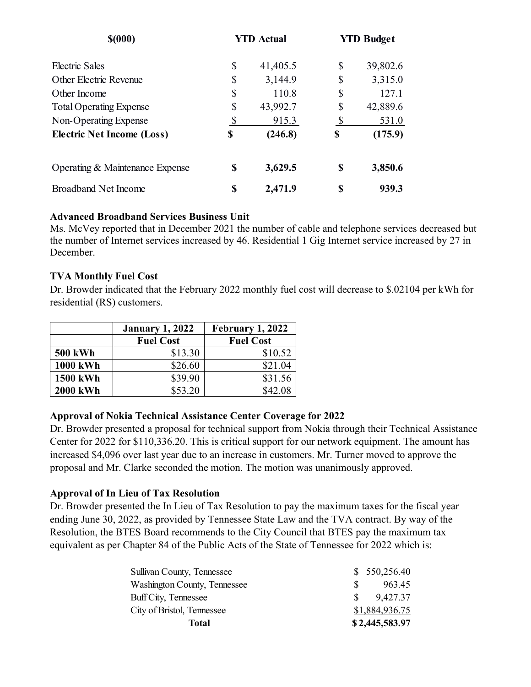| \$(000)                           |    | <b>YTD Actual</b> |    | <b>YTD Budget</b> |
|-----------------------------------|----|-------------------|----|-------------------|
| Electric Sales                    | \$ | 41,405.5          | S  | 39,802.6          |
| Other Electric Revenue            | \$ | 3,144.9           | \$ | 3,315.0           |
| Other Income                      | \$ | 110.8             | S  | 127.1             |
| <b>Total Operating Expense</b>    | \$ | 43,992.7          | S  | 42,889.6          |
| Non-Operating Expense             | \$ | 915.3             | \$ | 531.0             |
| <b>Electric Net Income (Loss)</b> | \$ | (246.8)           | \$ | (175.9)           |
| Operating & Maintenance Expense   | S  | 3,629.5           | S  | 3,850.6           |
| <b>Broadband Net Income</b>       | S  | 2,471.9           | \$ | 939.3             |

### **Advanced Broadband Services Business Unit**

Ms. McVey reported that in December 2021 the number of cable and telephone services decreased but the number of Internet services increased by 46. Residential 1 Gig Internet service increased by 27 in December.

### **TVA Monthly Fuel Cost**

Dr. Browder indicated that the February 2022 monthly fuel cost will decrease to \$.02104 per kWh for residential (RS) customers.

|                 | <b>January 1, 2022</b> | February 1, 2022 |  |
|-----------------|------------------------|------------------|--|
|                 | <b>Fuel Cost</b>       | <b>Fuel Cost</b> |  |
| <b>500 kWh</b>  | \$13.30                | \$10.52          |  |
| <b>1000 kWh</b> | \$26.60                | \$21.04          |  |
| <b>1500 kWh</b> | \$39.90                | \$31.56          |  |
| <b>2000 kWh</b> | \$53.20                | \$42.08          |  |

# **Approval of Nokia Technical Assistance Center Coverage for 2022**

Dr. Browder presented a proposal for technical support from Nokia through their Technical Assistance Center for 2022 for \$110,336.20. This is critical support for our network equipment. The amount has increased \$4,096 over last year due to an increase in customers. Mr. Turner moved to approve the proposal and Mr. Clarke seconded the motion. The motion was unanimously approved.

# **Approval of In Lieu of Tax Resolution**

Dr. Browder presented the In Lieu of Tax Resolution to pay the maximum taxes for the fiscal year ending June 30, 2022, as provided by Tennessee State Law and the TVA contract. By way of the Resolution, the BTES Board recommends to the City Council that BTES pay the maximum tax equivalent as per Chapter 84 of the Public Acts of the State of Tennessee for 2022 which is:

| Total                             | \$2,445,583.97 |
|-----------------------------------|----------------|
| City of Bristol, Tennessee        | \$1,884,936.75 |
| Buff City, Tennessee              | 9,427.37       |
| Washington County, Tennessee      | 963.45         |
| <b>Sullivan County, Tennessee</b> | \$550,256.40   |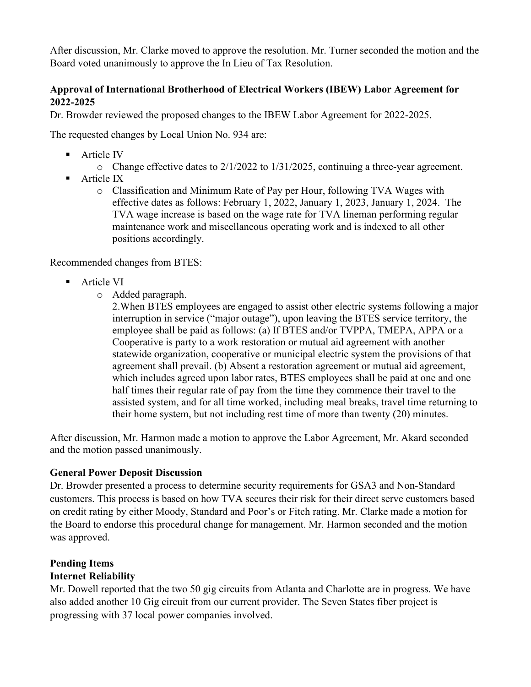After discussion, Mr. Clarke moved to approve the resolution. Mr. Turner seconded the motion and the Board voted unanimously to approve the In Lieu of Tax Resolution.

# **Approval of International Brotherhood of Electrical Workers (IBEW) Labor Agreement for 2022-2025**

Dr. Browder reviewed the proposed changes to the IBEW Labor Agreement for 2022-2025.

The requested changes by Local Union No. 934 are:

- **Article IV** 
	- o Change effective dates to 2/1/2022 to 1/31/2025, continuing a three-year agreement.
- **Article IX** 
	- o Classification and Minimum Rate of Pay per Hour, following TVA Wages with effective dates as follows: February 1, 2022, January 1, 2023, January 1, 2024. The TVA wage increase is based on the wage rate for TVA lineman performing regular maintenance work and miscellaneous operating work and is indexed to all other positions accordingly.

Recommended changes from BTES:

- **Article VI** 
	- o Added paragraph.

2.When BTES employees are engaged to assist other electric systems following a major interruption in service ("major outage"), upon leaving the BTES service territory, the employee shall be paid as follows: (a) If BTES and/or TVPPA, TMEPA, APPA or a Cooperative is party to a work restoration or mutual aid agreement with another statewide organization, cooperative or municipal electric system the provisions of that agreement shall prevail. (b) Absent a restoration agreement or mutual aid agreement, which includes agreed upon labor rates, BTES employees shall be paid at one and one half times their regular rate of pay from the time they commence their travel to the assisted system, and for all time worked, including meal breaks, travel time returning to their home system, but not including rest time of more than twenty (20) minutes.

After discussion, Mr. Harmon made a motion to approve the Labor Agreement, Mr. Akard seconded and the motion passed unanimously.

#### **General Power Deposit Discussion**

Dr. Browder presented a process to determine security requirements for GSA3 and Non-Standard customers. This process is based on how TVA secures their risk for their direct serve customers based on credit rating by either Moody, Standard and Poor's or Fitch rating. Mr. Clarke made a motion for the Board to endorse this procedural change for management. Mr. Harmon seconded and the motion was approved.

# **Pending Items**

# **Internet Reliability**

Mr. Dowell reported that the two 50 gig circuits from Atlanta and Charlotte are in progress. We have also added another 10 Gig circuit from our current provider. The Seven States fiber project is progressing with 37 local power companies involved.